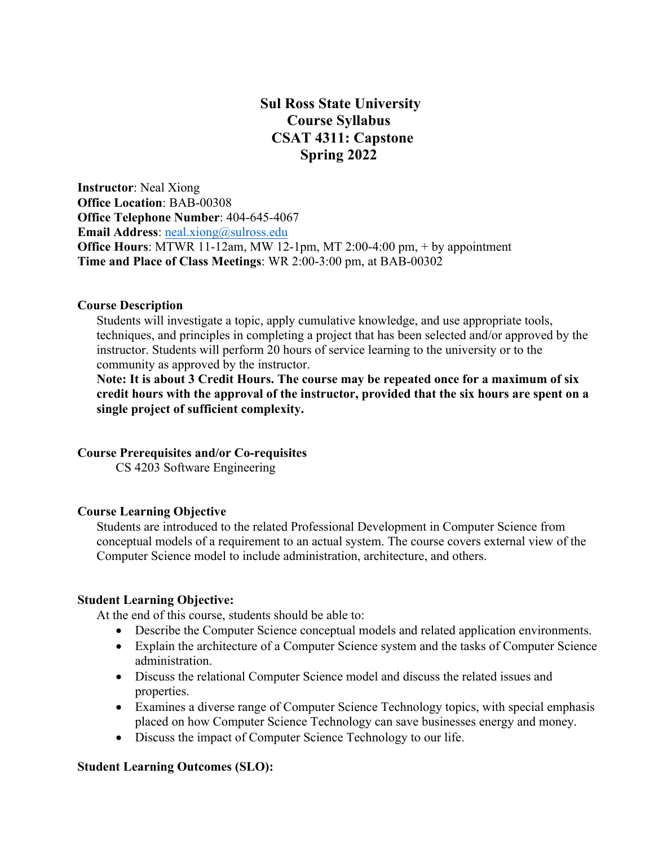# **Sul Ross State University Course Syllabus CSAT 4311: Capstone Spring 2022**

**Instructor**: Neal Xiong **Office Location**: BAB-00308 **Office Telephone Number**: 404-645-4067 **Email Address: neal.xiong@sulross.edu Office Hours**: MTWR 11-12am, MW 12-1pm, MT 2:00-4:00 pm, + by appointment **Time and Place of Class Meetings**: WR 2:00-3:00 pm, at BAB-00302

#### **Course Description**

Students will investigate a topic, apply cumulative knowledge, and use appropriate tools, techniques, and principles in completing a project that has been selected and/or approved by the instructor. Students will perform 20 hours of service learning to the university or to the community as approved by the instructor.

**Note: It is about 3 Credit Hours. The course may be repeated once for a maximum of six credit hours with the approval of the instructor, provided that the six hours are spent on a single project of sufficient complexity.**

## **Course Prerequisites and/or Co-requisites**

CS 4203 Software Engineering

#### **Course Learning Objective**

Students are introduced to the related Professional Development in Computer Science from conceptual models of a requirement to an actual system. The course covers external view of the Computer Science model to include administration, architecture, and others.

#### **Student Learning Objective:**

At the end of this course, students should be able to:

- Describe the Computer Science conceptual models and related application environments.
- Explain the architecture of a Computer Science system and the tasks of Computer Science administration.
- Discuss the relational Computer Science model and discuss the related issues and properties.
- Examines a diverse range of Computer Science Technology topics, with special emphasis placed on how Computer Science Technology can save businesses energy and money.
- Discuss the impact of Computer Science Technology to our life.

## **Student Learning Outcomes (SLO):**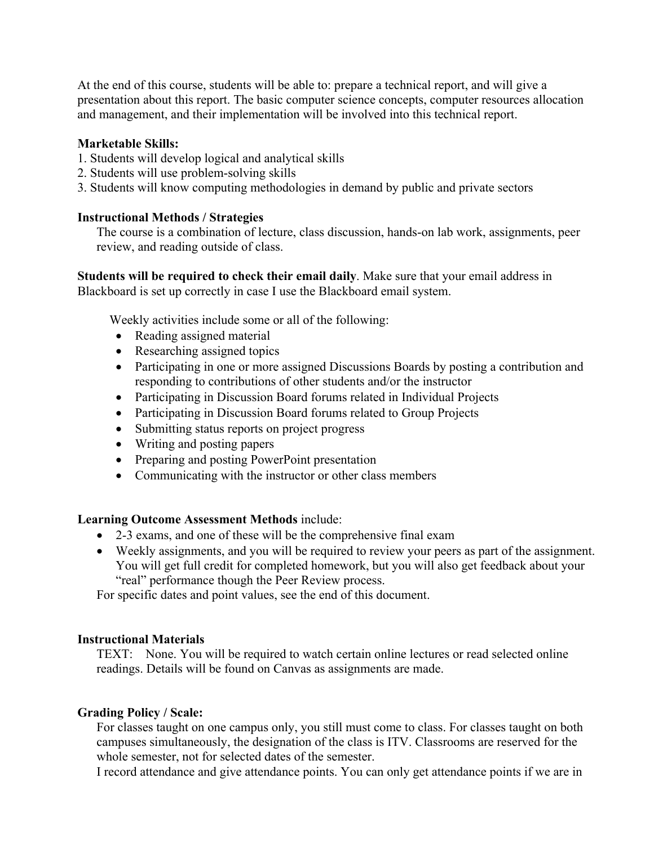At the end of this course, students will be able to: prepare a technical report, and will give a presentation about this report. The basic computer science concepts, computer resources allocation and management, and their implementation will be involved into this technical report.

## **Marketable Skills:**

- 1. Students will develop logical and analytical skills
- 2. Students will use problem-solving skills
- 3. Students will know computing methodologies in demand by public and private sectors

## **Instructional Methods / Strategies**

The course is a combination of lecture, class discussion, hands-on lab work, assignments, peer review, and reading outside of class.

**Students will be required to check their email daily**. Make sure that your email address in Blackboard is set up correctly in case I use the Blackboard email system.

Weekly activities include some or all of the following:

- Reading assigned material
- Researching assigned topics
- Participating in one or more assigned Discussions Boards by posting a contribution and responding to contributions of other students and/or the instructor
- Participating in Discussion Board forums related in Individual Projects
- Participating in Discussion Board forums related to Group Projects
- Submitting status reports on project progress
- Writing and posting papers
- Preparing and posting PowerPoint presentation
- Communicating with the instructor or other class members

## **Learning Outcome Assessment Methods** include:

- 2-3 exams, and one of these will be the comprehensive final exam
- Weekly assignments, and you will be required to review your peers as part of the assignment. You will get full credit for completed homework, but you will also get feedback about your "real" performance though the Peer Review process.

For specific dates and point values, see the end of this document.

## **Instructional Materials**

TEXT: None. You will be required to watch certain online lectures or read selected online readings. Details will be found on Canvas as assignments are made.

## **Grading Policy / Scale:**

For classes taught on one campus only, you still must come to class. For classes taught on both campuses simultaneously, the designation of the class is ITV. Classrooms are reserved for the whole semester, not for selected dates of the semester.

I record attendance and give attendance points. You can only get attendance points if we are in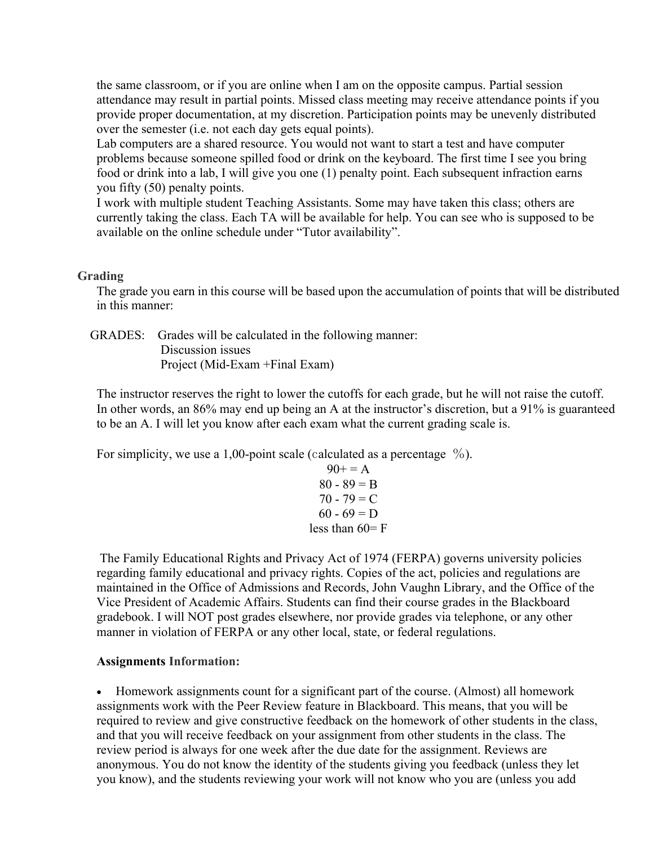the same classroom, or if you are online when I am on the opposite campus. Partial session attendance may result in partial points. Missed class meeting may receive attendance points if you provide proper documentation, at my discretion. Participation points may be unevenly distributed over the semester (i.e. not each day gets equal points).

Lab computers are a shared resource. You would not want to start a test and have computer problems because someone spilled food or drink on the keyboard. The first time I see you bring food or drink into a lab, I will give you one (1) penalty point. Each subsequent infraction earns you fifty (50) penalty points.

I work with multiple student Teaching Assistants. Some may have taken this class; others are currently taking the class. Each TA will be available for help. You can see who is supposed to be available on the online schedule under "Tutor availability".

## **Grading**

The grade you earn in this course will be based upon the accumulation of points that will be distributed in this manner:

 GRADES: Grades will be calculated in the following manner: Discussion issues Project (Mid-Exam +Final Exam)

The instructor reserves the right to lower the cutoffs for each grade, but he will not raise the cutoff. In other words, an 86% may end up being an A at the instructor's discretion, but a 91% is guaranteed to be an A. I will let you know after each exam what the current grading scale is.

For simplicity, we use a 1,00-point scale (calculated as a percentage  $\%$ ).

$$
90+ = A \n80 - 89 = B \n70 - 79 = C \n60 - 69 = D \nless than 60 = F
$$

The Family Educational Rights and Privacy Act of 1974 (FERPA) governs university policies regarding family educational and privacy rights. Copies of the act, policies and regulations are maintained in the Office of Admissions and Records, John Vaughn Library, and the Office of the Vice President of Academic Affairs. Students can find their course grades in the Blackboard gradebook. I will NOT post grades elsewhere, nor provide grades via telephone, or any other manner in violation of FERPA or any other local, state, or federal regulations.

## **Assignments Information:**

• Homework assignments count for a significant part of the course. (Almost) all homework assignments work with the Peer Review feature in Blackboard. This means, that you will be required to review and give constructive feedback on the homework of other students in the class, and that you will receive feedback on your assignment from other students in the class. The review period is always for one week after the due date for the assignment. Reviews are anonymous. You do not know the identity of the students giving you feedback (unless they let you know), and the students reviewing your work will not know who you are (unless you add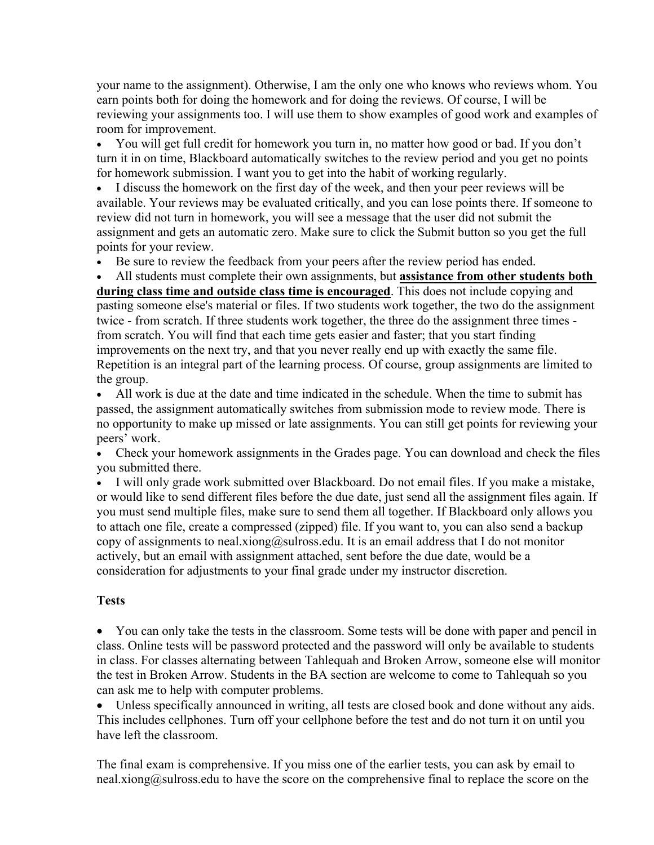your name to the assignment). Otherwise, I am the only one who knows who reviews whom. You earn points both for doing the homework and for doing the reviews. Of course, I will be reviewing your assignments too. I will use them to show examples of good work and examples of room for improvement.

• You will get full credit for homework you turn in, no matter how good or bad. If you don't turn it in on time, Blackboard automatically switches to the review period and you get no points for homework submission. I want you to get into the habit of working regularly.

• I discuss the homework on the first day of the week, and then your peer reviews will be available. Your reviews may be evaluated critically, and you can lose points there. If someone to review did not turn in homework, you will see a message that the user did not submit the assignment and gets an automatic zero. Make sure to click the Submit button so you get the full points for your review.

Be sure to review the feedback from your peers after the review period has ended.

• All students must complete their own assignments, but **assistance from other students both during class time and outside class time is encouraged**. This does not include copying and pasting someone else's material or files. If two students work together, the two do the assignment twice - from scratch. If three students work together, the three do the assignment three times from scratch. You will find that each time gets easier and faster; that you start finding improvements on the next try, and that you never really end up with exactly the same file. Repetition is an integral part of the learning process. Of course, group assignments are limited to the group.

• All work is due at the date and time indicated in the schedule. When the time to submit has passed, the assignment automatically switches from submission mode to review mode. There is no opportunity to make up missed or late assignments. You can still get points for reviewing your peers' work.

• Check your homework assignments in the Grades page. You can download and check the files you submitted there.

• I will only grade work submitted over Blackboard. Do not email files. If you make a mistake, or would like to send different files before the due date, just send all the assignment files again. If you must send multiple files, make sure to send them all together. If Blackboard only allows you to attach one file, create a compressed (zipped) file. If you want to, you can also send a backup copy of assignments to neal.xiong@sulross.edu. It is an email address that I do not monitor actively, but an email with assignment attached, sent before the due date, would be a consideration for adjustments to your final grade under my instructor discretion.

# **Tests**

• You can only take the tests in the classroom. Some tests will be done with paper and pencil in class. Online tests will be password protected and the password will only be available to students in class. For classes alternating between Tahlequah and Broken Arrow, someone else will monitor the test in Broken Arrow. Students in the BA section are welcome to come to Tahlequah so you can ask me to help with computer problems.

• Unless specifically announced in writing, all tests are closed book and done without any aids. This includes cellphones. Turn off your cellphone before the test and do not turn it on until you have left the classroom.

The final exam is comprehensive. If you miss one of the earlier tests, you can ask by email to neal.xiong@sulross.edu to have the score on the comprehensive final to replace the score on the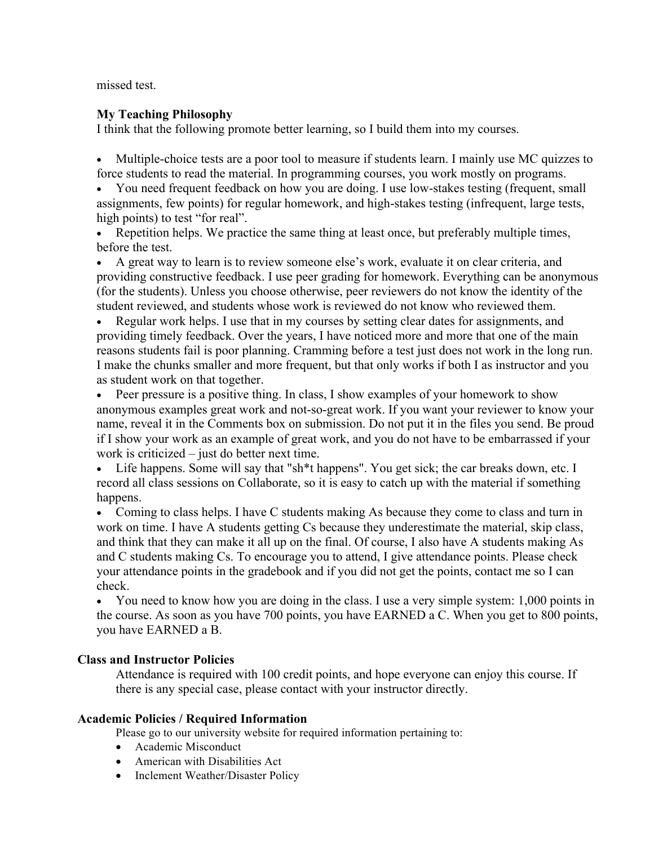missed test.

## **My Teaching Philosophy**

I think that the following promote better learning, so I build them into my courses.

• Multiple-choice tests are a poor tool to measure if students learn. I mainly use MC quizzes to force students to read the material. In programming courses, you work mostly on programs.

• You need frequent feedback on how you are doing. I use low-stakes testing (frequent, small assignments, few points) for regular homework, and high-stakes testing (infrequent, large tests, high points) to test "for real".

• Repetition helps. We practice the same thing at least once, but preferably multiple times, before the test.

• A great way to learn is to review someone else's work, evaluate it on clear criteria, and providing constructive feedback. I use peer grading for homework. Everything can be anonymous (for the students). Unless you choose otherwise, peer reviewers do not know the identity of the student reviewed, and students whose work is reviewed do not know who reviewed them.

• Regular work helps. I use that in my courses by setting clear dates for assignments, and providing timely feedback. Over the years, I have noticed more and more that one of the main reasons students fail is poor planning. Cramming before a test just does not work in the long run. I make the chunks smaller and more frequent, but that only works if both I as instructor and you as student work on that together.

• Peer pressure is a positive thing. In class, I show examples of your homework to show anonymous examples great work and not-so-great work. If you want your reviewer to know your name, reveal it in the Comments box on submission. Do not put it in the files you send. Be proud if I show your work as an example of great work, and you do not have to be embarrassed if your work is criticized – just do better next time.

• Life happens. Some will say that "sh<sup>\*\*</sup>t happens". You get sick; the car breaks down, etc. I record all class sessions on Collaborate, so it is easy to catch up with the material if something happens.

• Coming to class helps. I have C students making As because they come to class and turn in work on time. I have A students getting Cs because they underestimate the material, skip class, and think that they can make it all up on the final. Of course, I also have A students making As and C students making Cs. To encourage you to attend, I give attendance points. Please check your attendance points in the gradebook and if you did not get the points, contact me so I can check.

• You need to know how you are doing in the class. I use a very simple system: 1,000 points in the course. As soon as you have 700 points, you have EARNED a C. When you get to 800 points, you have EARNED a B.

## **Class and Instructor Policies**

Attendance is required with 100 credit points, and hope everyone can enjoy this course. If there is any special case, please contact with your instructor directly.

## **Academic Policies / Required Information**

Please go to our university website for required information pertaining to:

- Academic Misconduct
- American with Disabilities Act
- Inclement Weather/Disaster Policy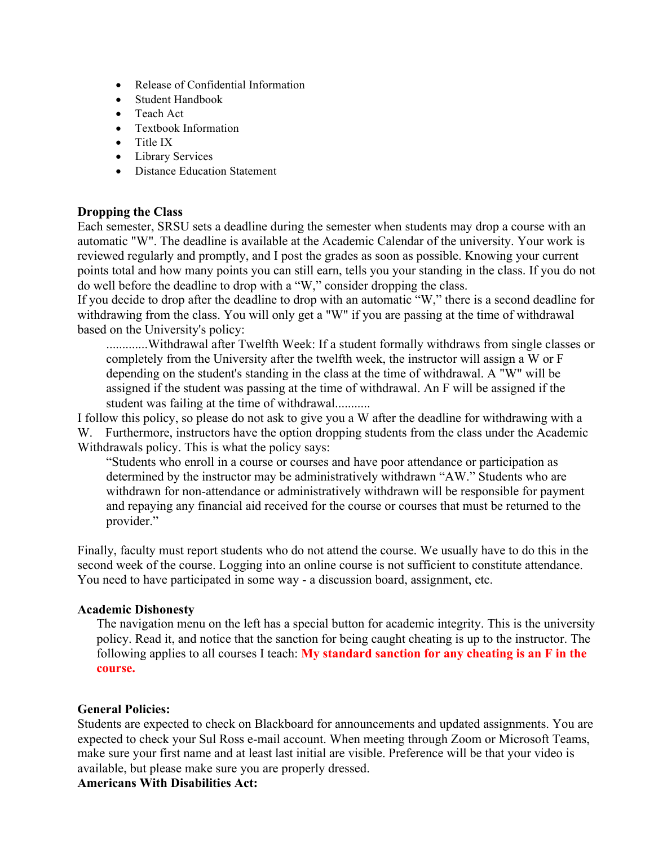- Release of Confidential Information
- Student Handbook
- Teach Act
- Textbook Information
- Title IX
- Library Services
- Distance Education Statement

#### **Dropping the Class**

Each semester, SRSU sets a deadline during the semester when students may drop a course with an automatic "W". The deadline is available at the Academic Calendar of the university. Your work is reviewed regularly and promptly, and I post the grades as soon as possible. Knowing your current points total and how many points you can still earn, tells you your standing in the class. If you do not do well before the deadline to drop with a "W," consider dropping the class.

If you decide to drop after the deadline to drop with an automatic "W," there is a second deadline for withdrawing from the class. You will only get a "W" if you are passing at the time of withdrawal based on the University's policy:

.............Withdrawal after Twelfth Week: If a student formally withdraws from single classes or completely from the University after the twelfth week, the instructor will assign a W or F depending on the student's standing in the class at the time of withdrawal. A "W" will be assigned if the student was passing at the time of withdrawal. An F will be assigned if the student was failing at the time of withdrawal...........

I follow this policy, so please do not ask to give you a W after the deadline for withdrawing with a W. Furthermore, instructors have the option dropping students from the class under the Academic Withdrawals policy. This is what the policy says:

"Students who enroll in a course or courses and have poor attendance or participation as determined by the instructor may be administratively withdrawn "AW." Students who are withdrawn for non-attendance or administratively withdrawn will be responsible for payment and repaying any financial aid received for the course or courses that must be returned to the provider."

Finally, faculty must report students who do not attend the course. We usually have to do this in the second week of the course. Logging into an online course is not sufficient to constitute attendance. You need to have participated in some way - a discussion board, assignment, etc.

#### **Academic Dishonesty**

The navigation menu on the left has a special button for academic integrity. This is the university policy. Read it, and notice that the sanction for being caught cheating is up to the instructor. The following applies to all courses I teach: **My standard sanction for any cheating is an F in the course.**

## **General Policies:**

Students are expected to check on Blackboard for announcements and updated assignments. You are expected to check your Sul Ross e-mail account. When meeting through Zoom or Microsoft Teams, make sure your first name and at least last initial are visible. Preference will be that your video is available, but please make sure you are properly dressed.

**Americans With Disabilities Act:**